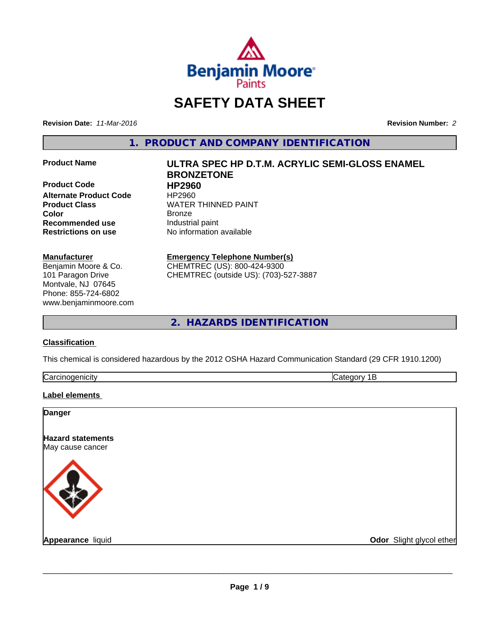

# **SAFETY DATA SHEET**

**Revision Date:** *11-Mar-2016* **Revision Number:** *2*

**1. PRODUCT AND COMPANY IDENTIFICATION**

**Product Code HP2960 Alternate Product Code HP2960<br>Product Class WATER Recommended use** Industrial paint

### **Manufacturer**

Benjamin Moore & Co. 101 Paragon Drive Montvale, NJ 07645 Phone: 855-724-6802 www.benjaminmoore.com

# **Product Name ULTRA SPEC HP D.T.M. ACRYLIC SEMI-GLOSS ENAMEL BRONZETONE WATER THINNED PAINT**

**Color** Bronze **Restrictions on use** No information available

> **Emergency Telephone Number(s)** CHEMTREC (US): 800-424-9300

CHEMTREC (outside US): (703)-527-3887

**2. HAZARDS IDENTIFICATION**

# **Classification**

This chemical is considered hazardous by the 2012 OSHA Hazard Communication Standard (29 CFR 1910.1200)

| $\overline{\phantom{0}}$ |  |
|--------------------------|--|
|                          |  |

# **Label elements**

| <b>Danger</b>                                |                          |
|----------------------------------------------|--------------------------|
| <b>Hazard statements</b><br>May cause cancer |                          |
|                                              |                          |
| Appearance liquid                            | Odor Slight glycol ether |

 $\overline{\phantom{a}}$  ,  $\overline{\phantom{a}}$  ,  $\overline{\phantom{a}}$  ,  $\overline{\phantom{a}}$  ,  $\overline{\phantom{a}}$  ,  $\overline{\phantom{a}}$  ,  $\overline{\phantom{a}}$  ,  $\overline{\phantom{a}}$  ,  $\overline{\phantom{a}}$  ,  $\overline{\phantom{a}}$  ,  $\overline{\phantom{a}}$  ,  $\overline{\phantom{a}}$  ,  $\overline{\phantom{a}}$  ,  $\overline{\phantom{a}}$  ,  $\overline{\phantom{a}}$  ,  $\overline{\phantom{a}}$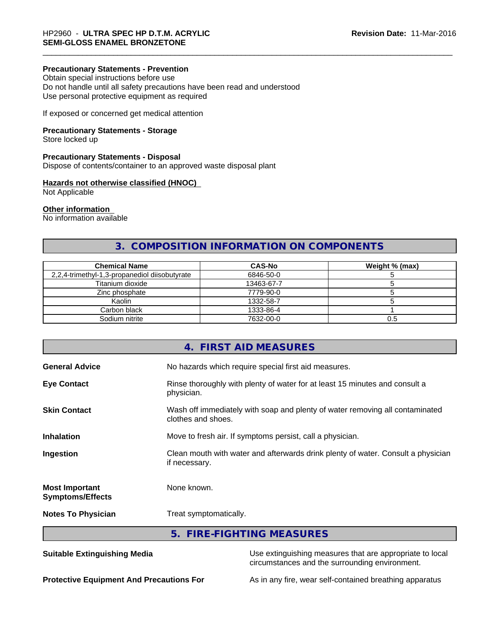### **Precautionary Statements - Prevention**

Obtain special instructions before use Do not handle until all safety precautions have been read and understood Use personal protective equipment as required

If exposed or concerned get medical attention

# **Precautionary Statements - Storage**

Store locked up

# **Precautionary Statements - Disposal**

Dispose of contents/container to an approved waste disposal plant

# **Hazards not otherwise classified (HNOC)**

Not Applicable

#### **Other information**

No information available

# **3. COMPOSITION INFORMATION ON COMPONENTS**

| <b>Chemical Name</b>                          | <b>CAS-No</b> | Weight % (max) |
|-----------------------------------------------|---------------|----------------|
| 2,2,4-trimethyl-1,3-propanediol diisobutyrate | 6846-50-0     |                |
| Titanium dioxide                              | 13463-67-7    |                |
| Zinc phosphate                                | 7779-90-0     |                |
| Kaolin                                        | 1332-58-7     |                |
| Carbon black                                  | 1333-86-4     |                |
| Sodium nitrite                                | 7632-00-0     | U.C            |

|                                                  | 4. FIRST AID MEASURES                                                                              |
|--------------------------------------------------|----------------------------------------------------------------------------------------------------|
| <b>General Advice</b>                            | No hazards which require special first aid measures.                                               |
| <b>Eye Contact</b>                               | Rinse thoroughly with plenty of water for at least 15 minutes and consult a<br>physician.          |
| <b>Skin Contact</b>                              | Wash off immediately with soap and plenty of water removing all contaminated<br>clothes and shoes. |
| <b>Inhalation</b>                                | Move to fresh air. If symptoms persist, call a physician.                                          |
| Ingestion                                        | Clean mouth with water and afterwards drink plenty of water. Consult a physician<br>if necessary.  |
| <b>Most Important</b><br><b>Symptoms/Effects</b> | None known.                                                                                        |
| <b>Notes To Physician</b>                        | Treat symptomatically.                                                                             |
|                                                  | 5. FIRE-FIGHTING MEASURES                                                                          |

**Suitable Extinguishing Media** Use extinguishing measures that are appropriate to local circumstances and the surrounding environment.

**Protective Equipment And Precautions For** As in any fire, wear self-contained breathing apparatus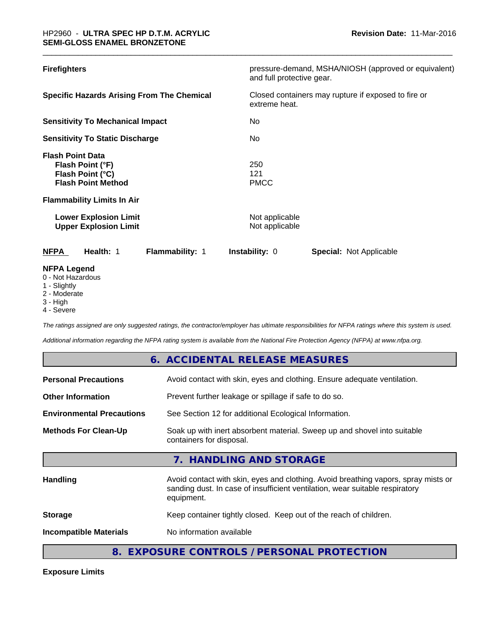| <b>Firefighters</b>                                                                                                                                                                               | pressure-demand, MSHA/NIOSH (approved or equivalent)<br>and full protective gear. |
|---------------------------------------------------------------------------------------------------------------------------------------------------------------------------------------------------|-----------------------------------------------------------------------------------|
| <b>Specific Hazards Arising From The Chemical</b>                                                                                                                                                 | Closed containers may rupture if exposed to fire or<br>extreme heat.              |
| <b>Sensitivity To Mechanical Impact</b>                                                                                                                                                           | No.                                                                               |
| <b>Sensitivity To Static Discharge</b>                                                                                                                                                            | No.                                                                               |
| <b>Flash Point Data</b><br>Flash Point (°F)<br>Flash Point (°C)<br><b>Flash Point Method</b><br><b>Flammability Limits In Air</b><br><b>Lower Explosion Limit</b><br><b>Upper Explosion Limit</b> | 250<br>121<br><b>PMCC</b><br>Not applicable<br>Not applicable                     |
| Health: 1<br>Flammability: 1<br><b>NFPA</b>                                                                                                                                                       | <b>Instability: 0</b><br><b>Special: Not Applicable</b>                           |
| <b>NFPA Legend</b><br>0 - Not Hazardous<br>1 - Slightly<br>2 - Moderate                                                                                                                           |                                                                                   |

- 2 Moderate
- 3 High

п

4 - Severe

**Exposure Limits**

*The ratings assigned are only suggested ratings, the contractor/employer has ultimate responsibilities for NFPA ratings where this system is used.*

*Additional information regarding the NFPA rating system is available from the National Fire Protection Agency (NFPA) at www.nfpa.org.*

|                                  | 6. ACCIDENTAL RELEASE MEASURES                                                                                                                                                   |
|----------------------------------|----------------------------------------------------------------------------------------------------------------------------------------------------------------------------------|
| <b>Personal Precautions</b>      | Avoid contact with skin, eyes and clothing. Ensure adequate ventilation.                                                                                                         |
| <b>Other Information</b>         | Prevent further leakage or spillage if safe to do so.                                                                                                                            |
| <b>Environmental Precautions</b> | See Section 12 for additional Ecological Information.                                                                                                                            |
| <b>Methods For Clean-Up</b>      | Soak up with inert absorbent material. Sweep up and shovel into suitable<br>containers for disposal.                                                                             |
|                                  | 7. HANDLING AND STORAGE                                                                                                                                                          |
| <b>Handling</b>                  | Avoid contact with skin, eyes and clothing. Avoid breathing vapors, spray mists or<br>sanding dust. In case of insufficient ventilation, wear suitable respiratory<br>equipment. |
| <b>Storage</b>                   | Keep container tightly closed. Keep out of the reach of children.                                                                                                                |
| <b>Incompatible Materials</b>    | No information available                                                                                                                                                         |
| 8.                               | EXPOSURE CONTROLS / PERSONAL PROTECTION                                                                                                                                          |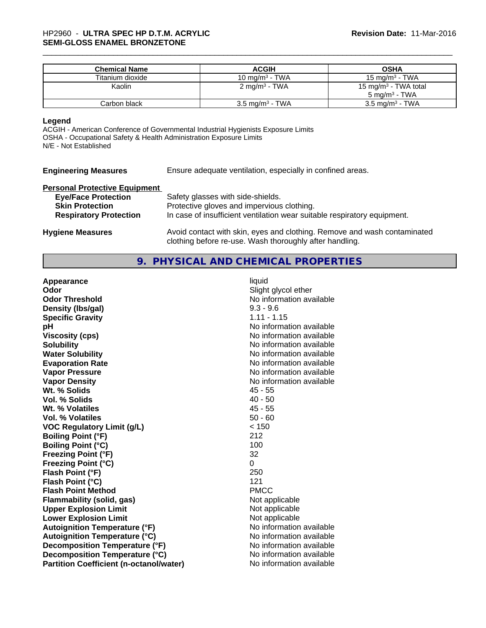| <b>Chemical Name</b> | <b>ACGIH</b>               | <b>OSHA</b>                      |
|----------------------|----------------------------|----------------------------------|
| Titanium dioxide     | 10 mg/m <sup>3</sup> - TWA | 15 mg/m $3$ - TWA                |
| Kaolin               | $2 \text{ mg/m}^3$ - TWA   | 15 mg/m <sup>3</sup> - TWA total |
|                      |                            | $5 \text{ ma/m}^3$ - TWA         |
| Carbon black         | $3.5 \text{ mg/m}^3$ - TWA | $3.5 \text{ mg/m}^3$ - TWA       |

#### **Legend**

ACGIH - American Conference of Governmental Industrial Hygienists Exposure Limits OSHA - Occupational Safety & Health Administration Exposure Limits N/E - Not Established

**Engineering Measures** Ensure adequate ventilation, especially in confined areas.

# **Personal Protective Equipment**

| <b>Eye/Face Protection</b><br><b>Skin Protection</b> | Safety glasses with side-shields.<br>Protective gloves and impervious clothing.                                                     |
|------------------------------------------------------|-------------------------------------------------------------------------------------------------------------------------------------|
| <b>Respiratory Protection</b>                        | In case of insufficient ventilation wear suitable respiratory equipment.                                                            |
| <b>Hygiene Measures</b>                              | Avoid contact with skin, eyes and clothing. Remove and wash contaminated<br>clothing before re-use. Wash thoroughly after handling. |

# **9. PHYSICAL AND CHEMICAL PROPERTIES**

| Appearance                                     | liquid                   |
|------------------------------------------------|--------------------------|
| Odor                                           | Slight glycol ether      |
| <b>Odor Threshold</b>                          | No information available |
| Density (Ibs/gal)                              | $9.3 - 9.6$              |
| <b>Specific Gravity</b>                        | $1.11 - 1.15$            |
| рH                                             | No information available |
| <b>Viscosity (cps)</b>                         | No information available |
| <b>Solubility</b>                              | No information available |
| <b>Water Solubility</b>                        | No information available |
| <b>Evaporation Rate</b>                        | No information available |
| <b>Vapor Pressure</b>                          | No information available |
| <b>Vapor Density</b>                           | No information available |
| Wt. % Solids                                   | $45 - 55$                |
| <b>Vol. % Solids</b>                           | $40 - 50$                |
| Wt. % Volatiles                                | $45 - 55$                |
| Vol. % Volatiles                               | $50 - 60$                |
| <b>VOC Regulatory Limit (g/L)</b>              | < 150                    |
| <b>Boiling Point (°F)</b>                      | 212                      |
| <b>Boiling Point (°C)</b>                      | 100                      |
| <b>Freezing Point (°F)</b>                     | 32                       |
| <b>Freezing Point (°C)</b>                     | 0                        |
| Flash Point (°F)                               | 250                      |
| Flash Point (°C)                               | 121                      |
| <b>Flash Point Method</b>                      | <b>PMCC</b>              |
| <b>Flammability (solid, gas)</b>               | Not applicable           |
| <b>Upper Explosion Limit</b>                   | Not applicable           |
| <b>Lower Explosion Limit</b>                   | Not applicable           |
| <b>Autoignition Temperature (°F)</b>           | No information available |
| <b>Autoignition Temperature (°C)</b>           | No information available |
| Decomposition Temperature (°F)                 | No information available |
| Decomposition Temperature (°C)                 | No information available |
| <b>Partition Coefficient (n-octanol/water)</b> | No information available |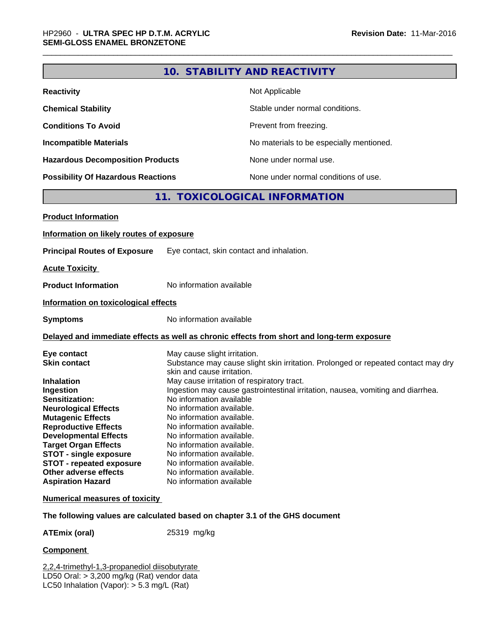|                                                                                                                                                                                                                                                                                  |                                                                                                                                                                                                                                         | 10. STABILITY AND REACTIVITY                                                                                                                                                                                       |  |
|----------------------------------------------------------------------------------------------------------------------------------------------------------------------------------------------------------------------------------------------------------------------------------|-----------------------------------------------------------------------------------------------------------------------------------------------------------------------------------------------------------------------------------------|--------------------------------------------------------------------------------------------------------------------------------------------------------------------------------------------------------------------|--|
| <b>Reactivity</b>                                                                                                                                                                                                                                                                |                                                                                                                                                                                                                                         | Not Applicable                                                                                                                                                                                                     |  |
| <b>Chemical Stability</b>                                                                                                                                                                                                                                                        | Stable under normal conditions.                                                                                                                                                                                                         |                                                                                                                                                                                                                    |  |
| <b>Conditions To Avoid</b>                                                                                                                                                                                                                                                       |                                                                                                                                                                                                                                         | Prevent from freezing.                                                                                                                                                                                             |  |
| <b>Incompatible Materials</b>                                                                                                                                                                                                                                                    |                                                                                                                                                                                                                                         | No materials to be especially mentioned.                                                                                                                                                                           |  |
| <b>Hazardous Decomposition Products</b>                                                                                                                                                                                                                                          |                                                                                                                                                                                                                                         | None under normal use.                                                                                                                                                                                             |  |
| <b>Possibility Of Hazardous Reactions</b>                                                                                                                                                                                                                                        |                                                                                                                                                                                                                                         | None under normal conditions of use.                                                                                                                                                                               |  |
|                                                                                                                                                                                                                                                                                  |                                                                                                                                                                                                                                         | 11. TOXICOLOGICAL INFORMATION                                                                                                                                                                                      |  |
| <b>Product Information</b>                                                                                                                                                                                                                                                       |                                                                                                                                                                                                                                         |                                                                                                                                                                                                                    |  |
| Information on likely routes of exposure                                                                                                                                                                                                                                         |                                                                                                                                                                                                                                         |                                                                                                                                                                                                                    |  |
| <b>Principal Routes of Exposure</b>                                                                                                                                                                                                                                              |                                                                                                                                                                                                                                         | Eye contact, skin contact and inhalation.                                                                                                                                                                          |  |
| <b>Acute Toxicity</b>                                                                                                                                                                                                                                                            |                                                                                                                                                                                                                                         |                                                                                                                                                                                                                    |  |
| <b>Product Information</b>                                                                                                                                                                                                                                                       | No information available                                                                                                                                                                                                                |                                                                                                                                                                                                                    |  |
| Information on toxicological effects                                                                                                                                                                                                                                             |                                                                                                                                                                                                                                         |                                                                                                                                                                                                                    |  |
| <b>Symptoms</b>                                                                                                                                                                                                                                                                  | No information available                                                                                                                                                                                                                |                                                                                                                                                                                                                    |  |
|                                                                                                                                                                                                                                                                                  |                                                                                                                                                                                                                                         | Delayed and immediate effects as well as chronic effects from short and long-term exposure                                                                                                                         |  |
| Eye contact<br><b>Skin contact</b><br><b>Inhalation</b><br>Ingestion<br>Sensitization:<br><b>Neurological Effects</b><br><b>Mutagenic Effects</b><br><b>Reproductive Effects</b><br><b>Developmental Effects</b><br><b>Target Organ Effects</b><br><b>STOT - single exposure</b> | May cause slight irritation.<br>skin and cause irritation.<br>No information available<br>No information available.<br>No information available.<br>No information available.<br>No information available.<br>No information available. | Substance may cause slight skin irritation. Prolonged or repeated contact may dry<br>May cause irritation of respiratory tract.<br>Ingestion may cause gastrointestinal irritation, nausea, vomiting and diarrhea. |  |
| <b>STOT - repeated exposure</b><br><b>Other adverse effects</b><br><b>Aspiration Hazard</b>                                                                                                                                                                                      | No information available.<br>No information available.<br>No information available.<br>No information available                                                                                                                         |                                                                                                                                                                                                                    |  |
| <b>Numerical measures of toxicity</b>                                                                                                                                                                                                                                            |                                                                                                                                                                                                                                         |                                                                                                                                                                                                                    |  |
|                                                                                                                                                                                                                                                                                  |                                                                                                                                                                                                                                         | The following values are calculated based on chapter 3.1 of the GHS document                                                                                                                                       |  |
| <b>ATEmix (oral)</b>                                                                                                                                                                                                                                                             | 25319 mg/kg                                                                                                                                                                                                                             |                                                                                                                                                                                                                    |  |

**Component** 

2,2,4-trimethyl-1,3-propanediol diisobutyrate LD50 Oral: > 3,200 mg/kg (Rat) vendor data LC50 Inhalation (Vapor): > 5.3 mg/L (Rat)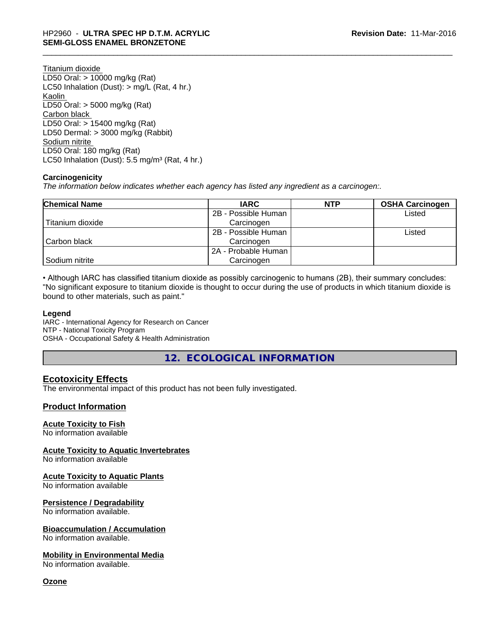Titanium dioxide LD50 Oral: > 10000 mg/kg (Rat) LC50 Inhalation (Dust): > mg/L (Rat, 4 hr.) Kaolin LD50 Oral: > 5000 mg/kg (Rat) Carbon black LD50 Oral: > 15400 mg/kg (Rat) LD50 Dermal: > 3000 mg/kg (Rabbit) Sodium nitrite LD50 Oral: 180 mg/kg (Rat) LC50 Inhalation (Dust):  $5.5 \text{ mg/m}^3$  (Rat, 4 hr.)

# **Carcinogenicity**

*The information below indicateswhether each agency has listed any ingredient as a carcinogen:.*

| <b>Chemical Name</b> | <b>IARC</b>         | <b>NTP</b> | <b>OSHA Carcinogen</b> |
|----------------------|---------------------|------------|------------------------|
|                      | 2B - Possible Human |            | Listed                 |
| Titanium dioxide     | Carcinogen          |            |                        |
|                      | 2B - Possible Human |            | Listed                 |
| Carbon black         | Carcinogen          |            |                        |
|                      | 2A - Probable Human |            |                        |
| Sodium nitrite       | Carcinogen          |            |                        |

• Although IARC has classified titanium dioxide as possibly carcinogenic to humans (2B), their summary concludes: "No significant exposure to titanium dioxide is thought to occur during the use of products in which titanium dioxide is bound to other materials, such as paint."

#### **Legend**

IARC - International Agency for Research on Cancer NTP - National Toxicity Program OSHA - Occupational Safety & Health Administration

**12. ECOLOGICAL INFORMATION**

# **Ecotoxicity Effects**

The environmental impact of this product has not been fully investigated.

# **Product Information**

### **Acute Toxicity to Fish**

No information available

**Acute Toxicity to Aquatic Invertebrates**

No information available

### **Acute Toxicity to Aquatic Plants**

No information available

#### **Persistence / Degradability**

No information available.

#### **Bioaccumulation / Accumulation**

No information available.

#### **Mobility in Environmental Media**

No information available.

**Ozone**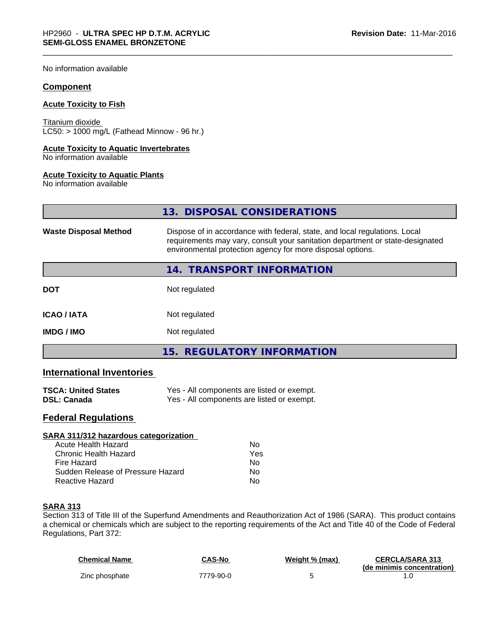No information available

# **Component**

#### **Acute Toxicity to Fish**

Titanium dioxide  $LCS0: > 1000$  mg/L (Fathead Minnow - 96 hr.)

#### **Acute Toxicity to Aquatic Invertebrates**

No information available

#### **Acute Toxicity to Aquatic Plants**

No information available

|                              | 13. DISPOSAL CONSIDERATIONS                                                                                                                                                                                               |
|------------------------------|---------------------------------------------------------------------------------------------------------------------------------------------------------------------------------------------------------------------------|
| <b>Waste Disposal Method</b> | Dispose of in accordance with federal, state, and local regulations. Local<br>requirements may vary, consult your sanitation department or state-designated<br>environmental protection agency for more disposal options. |
|                              | 14. TRANSPORT INFORMATION                                                                                                                                                                                                 |
| <b>DOT</b>                   | Not regulated                                                                                                                                                                                                             |
| <b>ICAO/IATA</b>             | Not regulated                                                                                                                                                                                                             |
| <b>IMDG / IMO</b>            | Not regulated                                                                                                                                                                                                             |
|                              | 15. REGULATORY INFORMATION                                                                                                                                                                                                |

# **International Inventories**

| <b>TSCA: United States</b> | Yes - All components are listed or exempt. |
|----------------------------|--------------------------------------------|
| DSL: Canada                | Yes - All components are listed or exempt. |

# **Federal Regulations**

| SARA 311/312 hazardous categorization |     |  |
|---------------------------------------|-----|--|
| Acute Health Hazard                   | Nο  |  |
| Chronic Health Hazard                 | Yes |  |
| Fire Hazard                           | Nο  |  |
| Sudden Release of Pressure Hazard     | No  |  |
| Reactive Hazard                       | No  |  |

# **SARA 313**

Section 313 of Title III of the Superfund Amendments and Reauthorization Act of 1986 (SARA). This product contains a chemical or chemicals which are subject to the reporting requirements of the Act and Title 40 of the Code of Federal Regulations, Part 372:

| <b>Chemical Name</b> | <b>CAS-No</b> | Weight % (max) | <b>CERCLA/SARA 313</b><br>(de minimis concentration) |
|----------------------|---------------|----------------|------------------------------------------------------|
| Zinc phosphate       | 7779-90-0     |                |                                                      |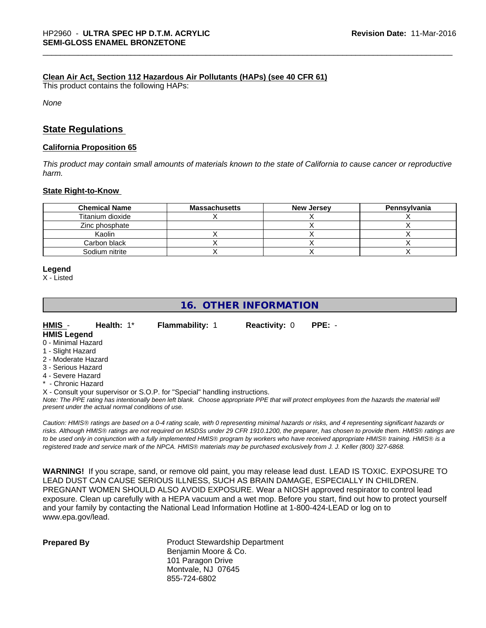#### **Clean Air Act,Section 112 Hazardous Air Pollutants (HAPs) (see 40 CFR 61)**

This product contains the following HAPs:

*None*

# **State Regulations**

#### **California Proposition 65**

This product may contain small amounts of materials known to the state of California to cause cancer or reproductive *harm.*

#### **State Right-to-Know**

| <b>Chemical Name</b> | Massachusetts | <b>New Jersey</b> | Pennsylvania |
|----------------------|---------------|-------------------|--------------|
| Titanium dioxide     |               |                   |              |
| Zinc phosphate       |               |                   |              |
| Kaolin               |               |                   |              |
| Carbon black         |               |                   |              |
| Sodium nitrite       |               |                   |              |

#### **Legend**

X - Listed

# **16. OTHER INFORMATION**

**HMIS** - **Health:** 1\* **Flammability:** 1 **Reactivity:** 0 **PPE:** - **HMIS Legend**

- 0 Minimal Hazard
- 1 Slight Hazard
- 2 Moderate Hazard
- 3 Serious Hazard
- 4 Severe Hazard
- \* Chronic Hazard

X - Consult your supervisor or S.O.P. for "Special" handling instructions.

*Note: The PPE rating has intentionally been left blank. Choose appropriate PPE that will protect employees from the hazards the material will present under the actual normal conditions of use.*

*Caution: HMISÒ ratings are based on a 0-4 rating scale, with 0 representing minimal hazards or risks, and 4 representing significant hazards or risks. Although HMISÒ ratings are not required on MSDSs under 29 CFR 1910.1200, the preparer, has chosen to provide them. HMISÒ ratings are to be used only in conjunction with a fully implemented HMISÒ program by workers who have received appropriate HMISÒ training. HMISÒ is a registered trade and service mark of the NPCA. HMISÒ materials may be purchased exclusively from J. J. Keller (800) 327-6868.*

**WARNING!** If you scrape, sand, or remove old paint, you may release lead dust. LEAD IS TOXIC. EXPOSURE TO LEAD DUST CAN CAUSE SERIOUS ILLNESS, SUCH AS BRAIN DAMAGE, ESPECIALLY IN CHILDREN. PREGNANT WOMEN SHOULD ALSO AVOID EXPOSURE. Wear a NIOSH approved respirator to control lead exposure. Clean up carefully with a HEPA vacuum and a wet mop. Before you start, find out how to protect yourself and your family by contacting the National Lead Information Hotline at 1-800-424-LEAD or log on to www.epa.gov/lead.

**Prepared By** Product Stewardship Department Benjamin Moore & Co. 101 Paragon Drive Montvale, NJ 07645 855-724-6802